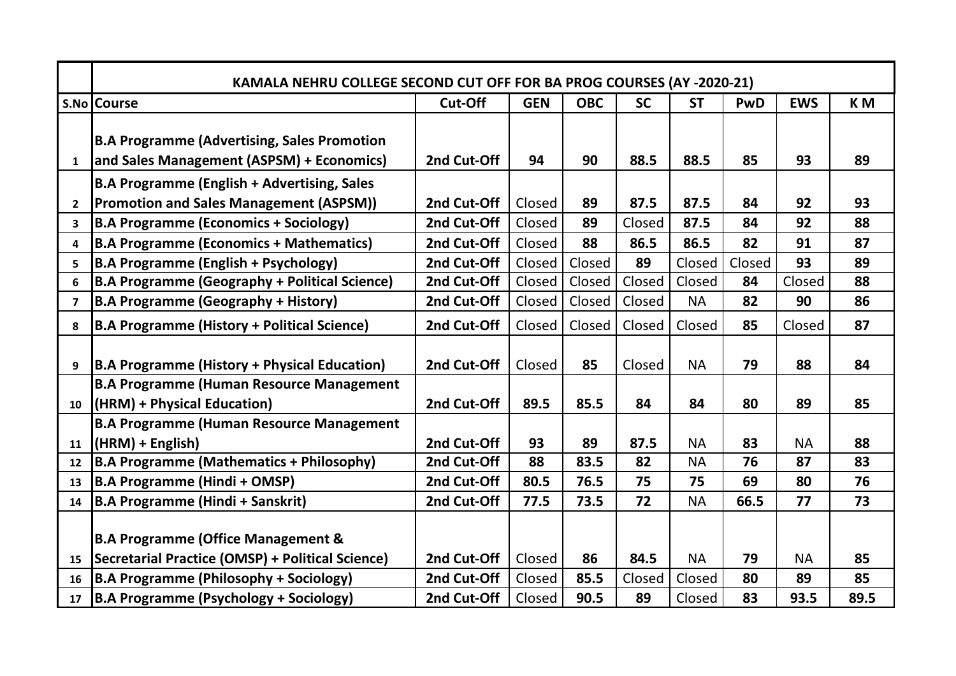|                 | KAMALA NEHRU COLLEGE SECOND CUT OFF FOR BA PROG COURSES (AY -2020-21)                           |             |            |            |           |           |            |            |                |
|-----------------|-------------------------------------------------------------------------------------------------|-------------|------------|------------|-----------|-----------|------------|------------|----------------|
|                 | S.No Course                                                                                     | Cut-Off     | <b>GEN</b> | <b>OBC</b> | <b>SC</b> | <b>ST</b> | <b>PwD</b> | <b>EWS</b> | K <sub>M</sub> |
| $\mathbf{1}$    | <b>B.A Programme (Advertising, Sales Promotion</b><br>and Sales Management (ASPSM) + Economics) | 2nd Cut-Off | 94         | 90         | 88.5      | 88.5      | 85         | 93         | 89             |
|                 | <b>B.A Programme (English + Advertising, Sales</b>                                              |             |            |            |           |           |            |            |                |
| $\mathbf{2}$    | <b>Promotion and Sales Management (ASPSM))</b>                                                  | 2nd Cut-Off | Closed     | 89         | 87.5      | 87.5      | 84         | 92         | 93             |
| 3               | <b>B.A Programme (Economics + Sociology)</b>                                                    | 2nd Cut-Off | Closed     | 89         | Closed    | 87.5      | 84         | 92         | 88             |
| 4               | <b>B.A Programme (Economics + Mathematics)</b>                                                  | 2nd Cut-Off | Closed     | 88         | 86.5      | 86.5      | 82         | 91         | 87             |
| 5               | <b>B.A Programme (English + Psychology)</b>                                                     | 2nd Cut-Off | Closed     | Closed     | 89        | Closed    | Closed     | 93         | 89             |
| 6               | <b>B.A Programme (Geography + Political Science)</b>                                            | 2nd Cut-Off | Closed     | Closed     | Closed    | Closed    | 84         | Closed     | 88             |
| $\overline{7}$  | <b>B.A Programme (Geography + History)</b>                                                      | 2nd Cut-Off | Closed     | Closed     | Closed    | <b>NA</b> | 82         | 90         | 86             |
| 8               | <b>B.A Programme (History + Political Science)</b>                                              | 2nd Cut-Off | Closed     | Closed     | Closed    | Closed    | 85         | Closed     | 87             |
| 9               | <b>B.A Programme (History + Physical Education)</b>                                             | 2nd Cut-Off | Closed     | 85         | Closed    | <b>NA</b> | 79         | 88         | 84             |
|                 | <b>B.A Programme (Human Resource Management</b>                                                 |             |            |            |           |           |            |            |                |
| 10              | (HRM) + Physical Education)                                                                     | 2nd Cut-Off | 89.5       | 85.5       | 84        | 84        | 80         | 89         | 85             |
|                 | <b>B.A Programme (Human Resource Management</b>                                                 |             |            |            |           |           |            |            |                |
| 11              | $(HRM) + English)$                                                                              | 2nd Cut-Off | 93         | 89         | 87.5      | <b>NA</b> | 83         | <b>NA</b>  | 88             |
| 12              | <b>B.A Programme (Mathematics + Philosophy)</b>                                                 | 2nd Cut-Off | 88         | 83.5       | 82        | <b>NA</b> | 76         | 87         | 83             |
| 13              | <b>B.A Programme (Hindi + OMSP)</b>                                                             | 2nd Cut-Off | 80.5       | 76.5       | 75        | 75        | 69         | 80         | 76             |
| 14              | <b>B.A Programme (Hindi + Sanskrit)</b>                                                         | 2nd Cut-Off | 77.5       | 73.5       | 72        | <b>NA</b> | 66.5       | 77         | 73             |
|                 | <b>B.A Programme (Office Management &amp;</b>                                                   | 2nd Cut-Off |            | 86         | 84.5      | <b>NA</b> | 79         |            | 85             |
| 15              | Secretarial Practice (OMSP) + Political Science)                                                |             | Closed     |            |           |           |            | <b>NA</b>  |                |
| 16              | <b>B.A Programme (Philosophy + Sociology)</b>                                                   | 2nd Cut-Off | Closed     | 85.5       | Closed    | Closed    | 80         | 89         | 85             |
| 17 <sub>2</sub> | B.A Programme (Psychology + Sociology)                                                          | 2nd Cut-Off | Closed     | 90.5       | 89        | Closed    | 83         | 93.5       | 89.5           |